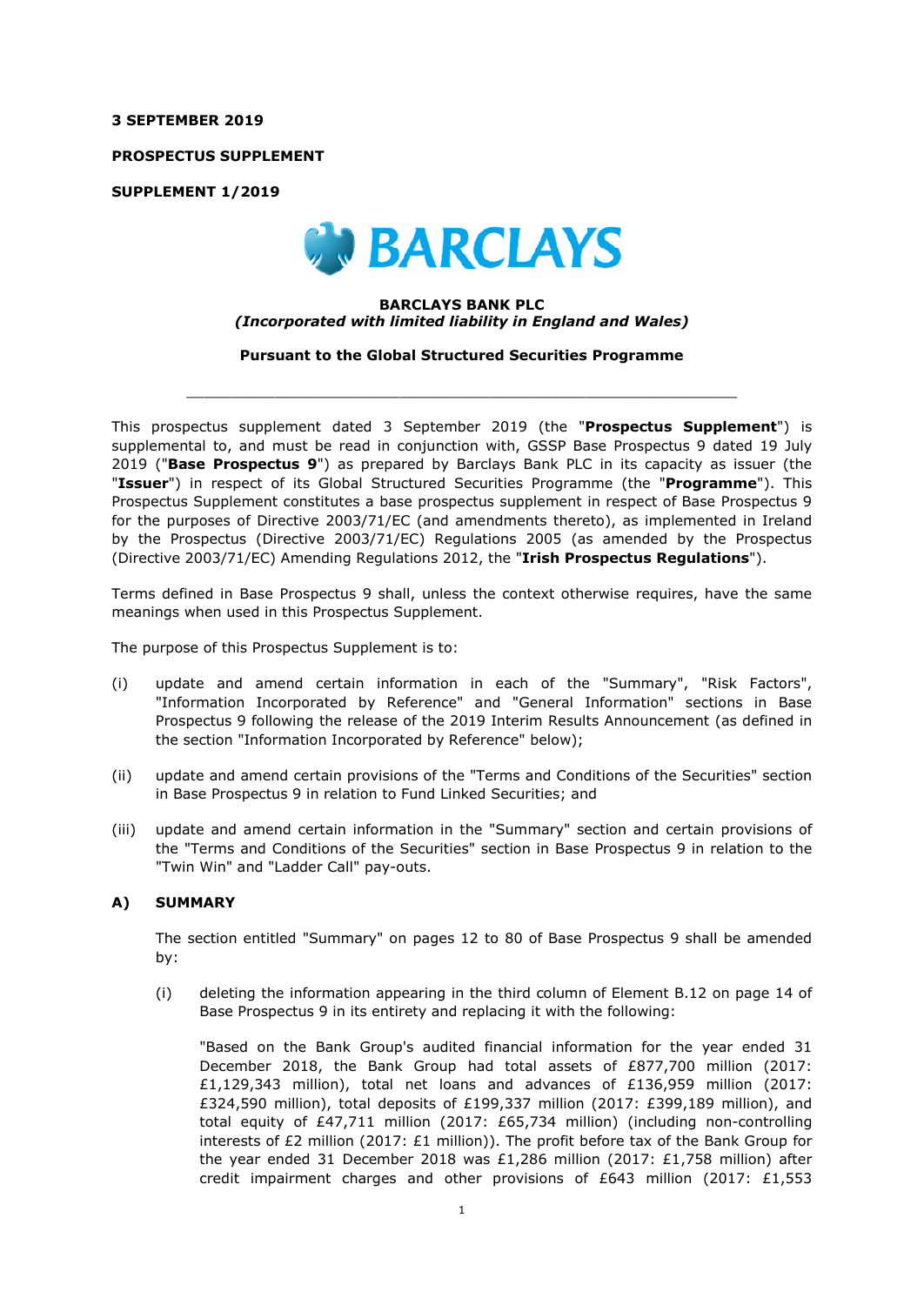#### **3 SEPTEMBER 2019**

**PROSPECTUS SUPPLEMENT** 

**SUPPLEMENT 1/2019** 



#### **BARCLAYS BANK PLC**  *(Incorporated with limited liability in England and Wales)*

**Pursuant to the Global Structured Securities Programme** 

 $\_$  ,  $\_$  ,  $\_$  ,  $\_$  ,  $\_$  ,  $\_$  ,  $\_$  ,  $\_$  ,  $\_$  ,  $\_$  ,  $\_$  ,  $\_$  ,  $\_$  ,  $\_$  ,  $\_$  ,  $\_$  ,  $\_$  ,  $\_$  ,  $\_$ 

This prospectus supplement dated 3 September 2019 (the "**Prospectus Supplement**") is supplemental to, and must be read in conjunction with, GSSP Base Prospectus 9 dated 19 July 2019 ("**Base Prospectus 9**") as prepared by Barclays Bank PLC in its capacity as issuer (the "**Issuer**") in respect of its Global Structured Securities Programme (the "**Programme**"). This Prospectus Supplement constitutes a base prospectus supplement in respect of Base Prospectus 9 for the purposes of Directive 2003/71/EC (and amendments thereto), as implemented in Ireland by the Prospectus (Directive 2003/71/EC) Regulations 2005 (as amended by the Prospectus (Directive 2003/71/EC) Amending Regulations 2012, the "**Irish Prospectus Regulations**").

Terms defined in Base Prospectus 9 shall, unless the context otherwise requires, have the same meanings when used in this Prospectus Supplement.

The purpose of this Prospectus Supplement is to:

- (i) update and amend certain information in each of the "Summary", "Risk Factors", "Information Incorporated by Reference" and "General Information" sections in Base Prospectus 9 following the release of the 2019 Interim Results Announcement (as defined in the section "Information Incorporated by Reference" below);
- (ii) update and amend certain provisions of the "Terms and Conditions of the Securities" section in Base Prospectus 9 in relation to Fund Linked Securities; and
- (iii) update and amend certain information in the "Summary" section and certain provisions of the "Terms and Conditions of the Securities" section in Base Prospectus 9 in relation to the "Twin Win" and "Ladder Call" pay-outs.

### **A) SUMMARY**

The section entitled "Summary" on pages 12 to 80 of Base Prospectus 9 shall be amended by:

(i) deleting the information appearing in the third column of Element B.12 on page 14 of Base Prospectus 9 in its entirety and replacing it with the following:

"Based on the Bank Group's audited financial information for the year ended 31 December 2018, the Bank Group had total assets of £877,700 million (2017: £1,129,343 million), total net loans and advances of £136,959 million (2017: £324,590 million), total deposits of £199,337 million (2017: £399,189 million), and total equity of £47,711 million (2017: £65,734 million) (including non-controlling interests of £2 million (2017: £1 million)). The profit before tax of the Bank Group for the year ended 31 December 2018 was £1,286 million (2017: £1,758 million) after credit impairment charges and other provisions of £643 million (2017: £1,553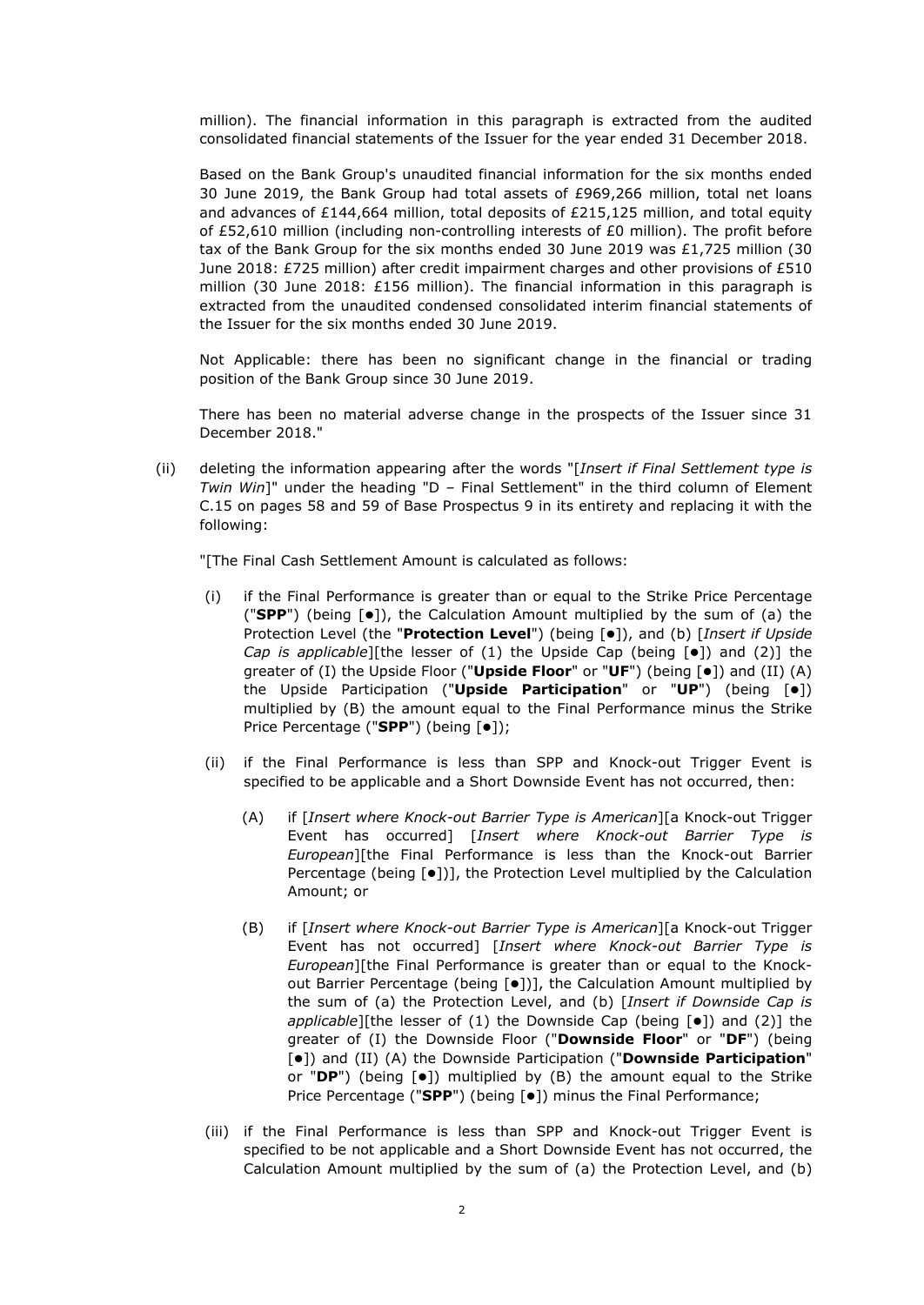million). The financial information in this paragraph is extracted from the audited consolidated financial statements of the Issuer for the year ended 31 December 2018.

Based on the Bank Group's unaudited financial information for the six months ended 30 June 2019, the Bank Group had total assets of £969,266 million, total net loans and advances of £144,664 million, total deposits of £215,125 million, and total equity of £52,610 million (including non-controlling interests of £0 million). The profit before tax of the Bank Group for the six months ended 30 June 2019 was £1,725 million (30 June 2018: £725 million) after credit impairment charges and other provisions of £510 million (30 June 2018: £156 million). The financial information in this paragraph is extracted from the unaudited condensed consolidated interim financial statements of the Issuer for the six months ended 30 June 2019.

Not Applicable: there has been no significant change in the financial or trading position of the Bank Group since 30 June 2019.

There has been no material adverse change in the prospects of the Issuer since 31 December 2018."

(ii) deleting the information appearing after the words "[*Insert if Final Settlement type is Twin Win*]" under the heading "D – Final Settlement" in the third column of Element C.15 on pages 58 and 59 of Base Prospectus 9 in its entirety and replacing it with the following:

"[The Final Cash Settlement Amount is calculated as follows:

- (i) if the Final Performance is greater than or equal to the Strike Price Percentage ("**SPP**") (being [ $\bullet$ ]), the Calculation Amount multiplied by the sum of (a) the Protection Level (the "**Protection Level**") (being [ $\bullet$ ]), and (b) [*Insert if Upside Cap is applicable*][the lesser of (1) the Upside Cap (being [ $\bullet$ ]) and (2)] the greater of (I) the Upside Floor ("**Upside Floor**" or "UF") (being [ $\bullet$ ]) and (II) (A) the Upside Participation ("Upside Participation" or "UP") (being [ $\bullet$ ]) multiplied by (B) the amount equal to the Final Performance minus the Strike Price Percentage ("SPP") (being [ $\bullet$ ]);
- (ii) if the Final Performance is less than SPP and Knock-out Trigger Event is specified to be applicable and a Short Downside Event has not occurred, then:
	- (A) if [*Insert where Knock-out Barrier Type is American*][a Knock-out Trigger Event has occurred] [*Insert where Knock-out Barrier Type is European*][the Final Performance is less than the Knock-out Barrier Percentage (being  $[•]$ )], the Protection Level multiplied by the Calculation Amount; or
	- (B) if [*Insert where Knock-out Barrier Type is American*][a Knock-out Trigger Event has not occurred] [*Insert where Knock-out Barrier Type is European*][the Final Performance is greater than or equal to the Knockout Barrier Percentage (being [ $\bullet$ ])], the Calculation Amount multiplied by the sum of (a) the Protection Level, and (b) [*Insert if Downside Cap is applicable*][the lesser of (1) the Downside Cap (being [ $\bullet$ ]) and (2)] the greater of (I) the Downside Floor ("**Downside Floor**" or "**DF**") (being []) and (II) (A) the Downside Participation ("**Downside Participation**" or "DP") (being [ $\bullet$ ]) multiplied by (B) the amount equal to the Strike Price Percentage ("SPP") (being [ $\bullet$ ]) minus the Final Performance;
- (iii) if the Final Performance is less than SPP and Knock-out Trigger Event is specified to be not applicable and a Short Downside Event has not occurred, the Calculation Amount multiplied by the sum of (a) the Protection Level, and (b)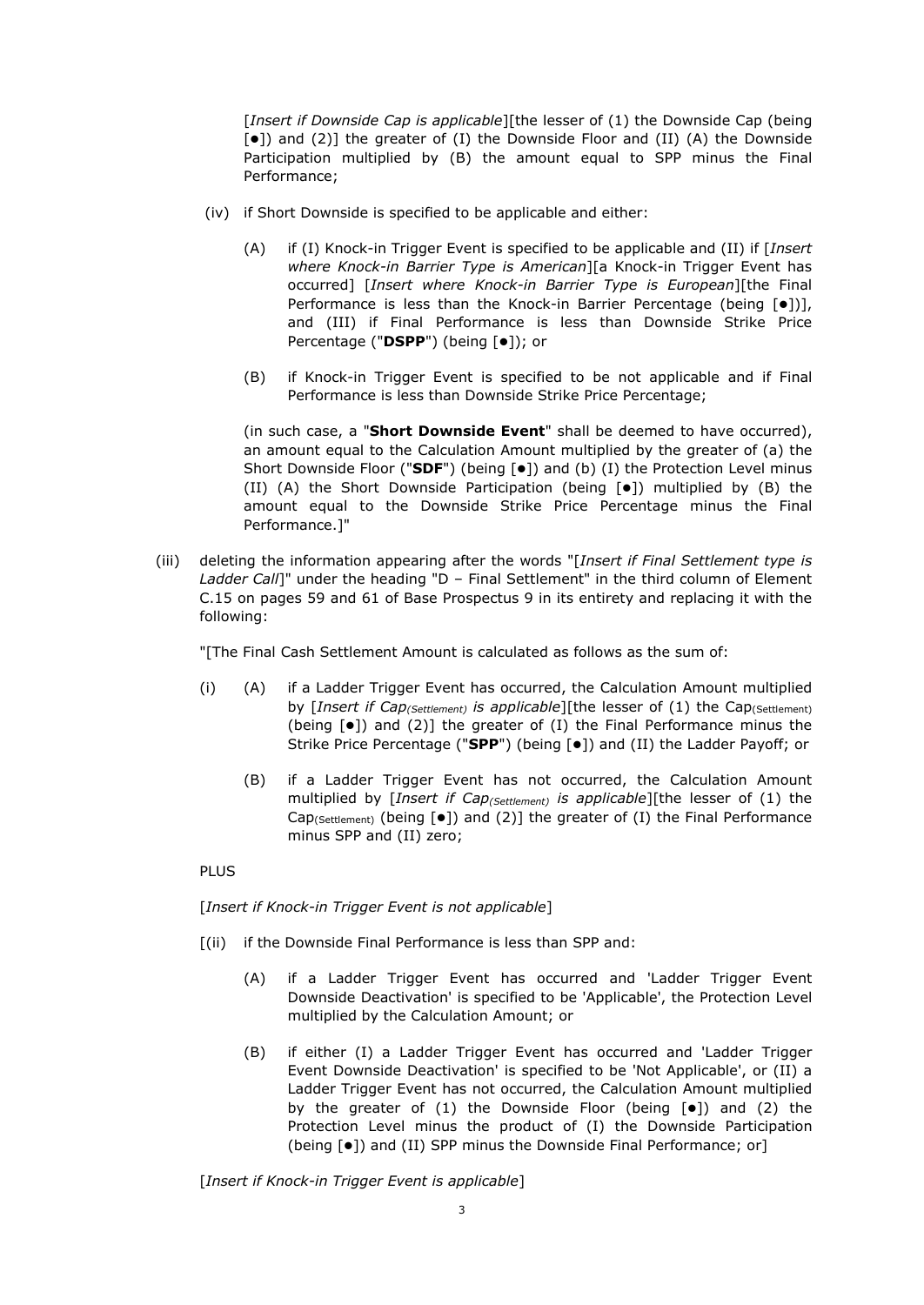[*Insert if Downside Cap is applicable*][the lesser of (1) the Downside Cap (being  $[\bullet]$  and (2)] the greater of (I) the Downside Floor and (II) (A) the Downside Participation multiplied by (B) the amount equal to SPP minus the Final Performance;

- (iv) if Short Downside is specified to be applicable and either:
	- (A) if (I) Knock-in Trigger Event is specified to be applicable and (II) if [*Insert where Knock-in Barrier Type is American*][a Knock-in Trigger Event has occurred] [*Insert where Knock-in Barrier Type is European*][the Final Performance is less than the Knock-in Barrier Percentage (being  $[0]$ ), and (III) if Final Performance is less than Downside Strike Price Percentage ("DSPP") (being [ $\bullet$ ]); or
	- (B) if Knock-in Trigger Event is specified to be not applicable and if Final Performance is less than Downside Strike Price Percentage;

(in such case, a "**Short Downside Event**" shall be deemed to have occurred), an amount equal to the Calculation Amount multiplied by the greater of (a) the Short Downside Floor ("**SDF**") (being [ $\bullet$ ]) and (b) (I) the Protection Level minus (II) (A) the Short Downside Participation (being  $[\bullet]$ ) multiplied by (B) the amount equal to the Downside Strike Price Percentage minus the Final Performance.]"

(iii) deleting the information appearing after the words "[*Insert if Final Settlement type is Ladder Call*]" under the heading "D – Final Settlement" in the third column of Element C.15 on pages 59 and 61 of Base Prospectus 9 in its entirety and replacing it with the following:

"[The Final Cash Settlement Amount is calculated as follows as the sum of:

- (i) (A) if a Ladder Trigger Event has occurred, the Calculation Amount multiplied by [*Insert if Cap(Settlement) is applicable*][the lesser of (1) the Cap(Settlement) (being  $\lceil \bullet \rceil$ ) and (2)] the greater of (I) the Final Performance minus the Strike Price Percentage ("SPP") (being [ $\bullet$ ]) and (II) the Ladder Payoff; or
	- (B) if a Ladder Trigger Event has not occurred, the Calculation Amount multiplied by [*Insert if Cap(Settlement) is applicable*][the lesser of (1) the Cap<sub>(Settlement)</sub> (being  $[\bullet]$ ) and (2)] the greater of (I) the Final Performance minus SPP and (II) zero;

### **PLUS**

[*Insert if Knock-in Trigger Event is not applicable*]

- [(ii) if the Downside Final Performance is less than SPP and:
	- (A) if a Ladder Trigger Event has occurred and 'Ladder Trigger Event Downside Deactivation' is specified to be 'Applicable', the Protection Level multiplied by the Calculation Amount; or
	- (B) if either (I) a Ladder Trigger Event has occurred and 'Ladder Trigger Event Downside Deactivation' is specified to be 'Not Applicable', or (II) a Ladder Trigger Event has not occurred, the Calculation Amount multiplied by the greater of (1) the Downside Floor (being  $[•]$ ) and (2) the Protection Level minus the product of (I) the Downside Participation (being [ $\bullet$ ]) and (II) SPP minus the Downside Final Performance; or]

[*Insert if Knock-in Trigger Event is applicable*]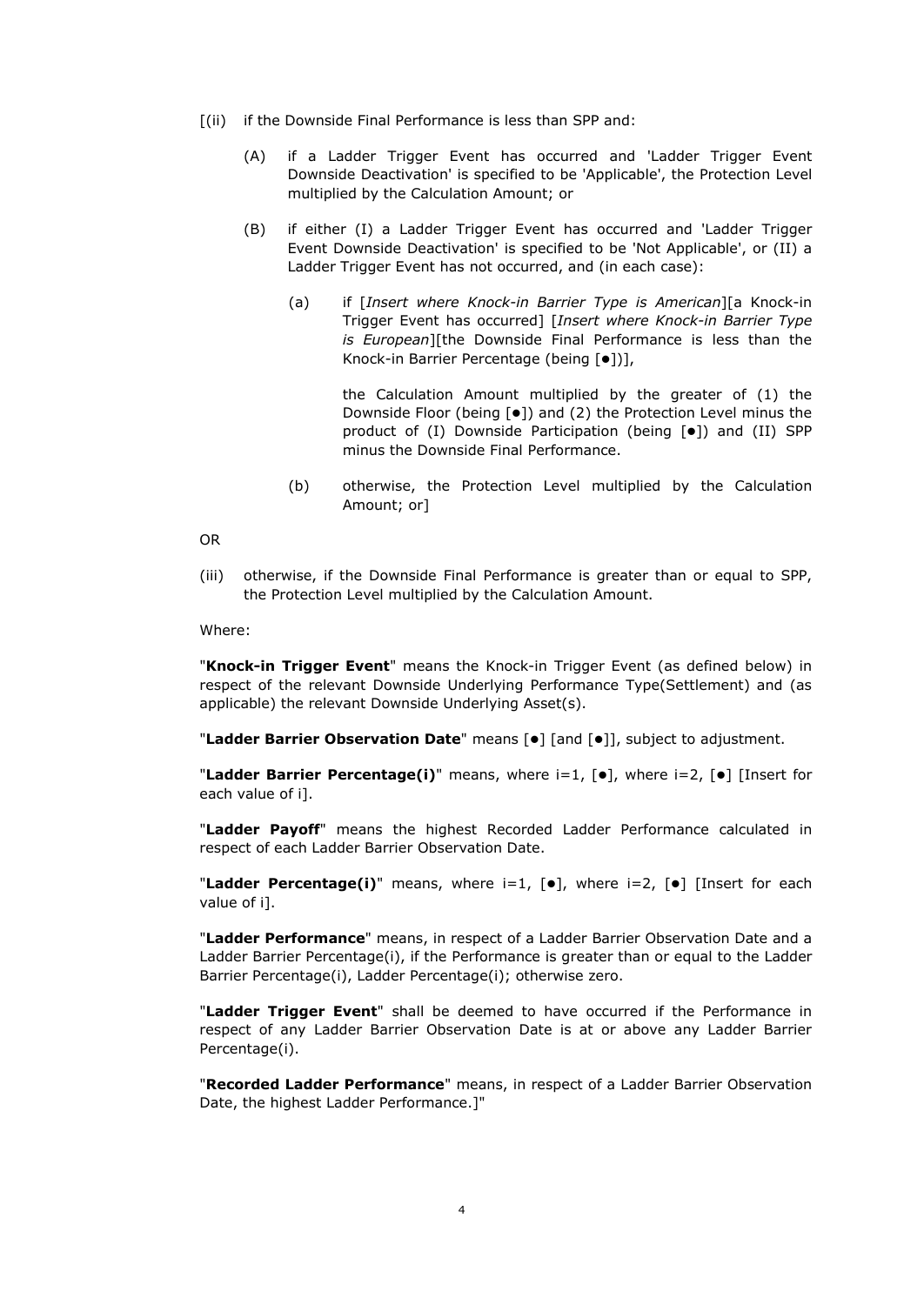- [(ii) if the Downside Final Performance is less than SPP and:
	- (A) if a Ladder Trigger Event has occurred and 'Ladder Trigger Event Downside Deactivation' is specified to be 'Applicable', the Protection Level multiplied by the Calculation Amount; or
	- (B) if either (I) a Ladder Trigger Event has occurred and 'Ladder Trigger Event Downside Deactivation' is specified to be 'Not Applicable', or (II) a Ladder Trigger Event has not occurred, and (in each case):
		- (a) if [*Insert where Knock-in Barrier Type is American*][a Knock-in Trigger Event has occurred] [*Insert where Knock-in Barrier Type is European*][the Downside Final Performance is less than the Knock-in Barrier Percentage (being [ $\bullet$ ])],

the Calculation Amount multiplied by the greater of (1) the Downside Floor (being [●]) and (2) the Protection Level minus the product of (I) Downside Participation (being [ $\bullet$ ]) and (II) SPP minus the Downside Final Performance.

(b) otherwise, the Protection Level multiplied by the Calculation Amount; or]

OR

(iii) otherwise, if the Downside Final Performance is greater than or equal to SPP, the Protection Level multiplied by the Calculation Amount.

Where:

"**Knock-in Trigger Event**" means the Knock-in Trigger Event (as defined below) in respect of the relevant Downside Underlying Performance Type(Settlement) and (as applicable) the relevant Downside Underlying Asset(s).

"Ladder Barrier Observation Date" means [ $\bullet$ ] [and [ $\bullet$ ]], subject to adjustment.

"Ladder Barrier Percentage(i)" means, where i=1, [ $\bullet$ ], where i=2, [ $\bullet$ ] [Insert for each value of i].

"**Ladder Payoff**" means the highest Recorded Ladder Performance calculated in respect of each Ladder Barrier Observation Date.

"Ladder Percentage(i)" means, where i=1, [ $\bullet$ ], where i=2, [ $\bullet$ ] [Insert for each value of i].

"**Ladder Performance**" means, in respect of a Ladder Barrier Observation Date and a Ladder Barrier Percentage(i), if the Performance is greater than or equal to the Ladder Barrier Percentage(i), Ladder Percentage(i); otherwise zero.

"**Ladder Trigger Event**" shall be deemed to have occurred if the Performance in respect of any Ladder Barrier Observation Date is at or above any Ladder Barrier Percentage(i).

"**Recorded Ladder Performance**" means, in respect of a Ladder Barrier Observation Date, the highest Ladder Performance.]"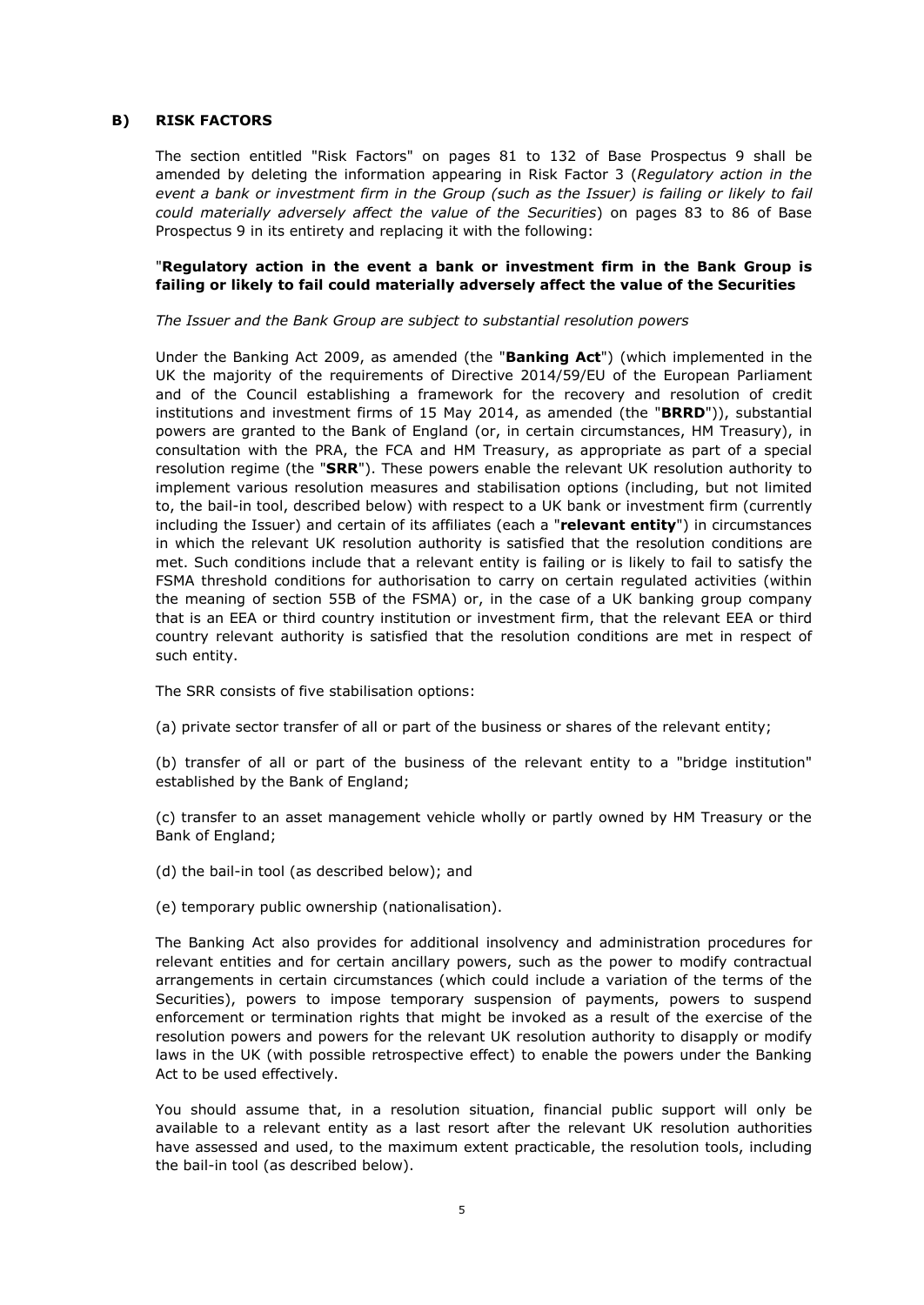### **B) RISK FACTORS**

The section entitled "Risk Factors" on pages 81 to 132 of Base Prospectus 9 shall be amended by deleting the information appearing in Risk Factor 3 (*Regulatory action in the event a bank or investment firm in the Group (such as the Issuer) is failing or likely to fail could materially adversely affect the value of the Securities*) on pages 83 to 86 of Base Prospectus 9 in its entirety and replacing it with the following:

## "**Regulatory action in the event a bank or investment firm in the Bank Group is failing or likely to fail could materially adversely affect the value of the Securities**

*The Issuer and the Bank Group are subject to substantial resolution powers* 

Under the Banking Act 2009, as amended (the "**Banking Act**") (which implemented in the UK the majority of the requirements of Directive 2014/59/EU of the European Parliament and of the Council establishing a framework for the recovery and resolution of credit institutions and investment firms of 15 May 2014, as amended (the "**BRRD**")), substantial powers are granted to the Bank of England (or, in certain circumstances, HM Treasury), in consultation with the PRA, the FCA and HM Treasury, as appropriate as part of a special resolution regime (the "**SRR**"). These powers enable the relevant UK resolution authority to implement various resolution measures and stabilisation options (including, but not limited to, the bail-in tool, described below) with respect to a UK bank or investment firm (currently including the Issuer) and certain of its affiliates (each a "**relevant entity**") in circumstances in which the relevant UK resolution authority is satisfied that the resolution conditions are met. Such conditions include that a relevant entity is failing or is likely to fail to satisfy the FSMA threshold conditions for authorisation to carry on certain regulated activities (within the meaning of section 55B of the FSMA) or, in the case of a UK banking group company that is an EEA or third country institution or investment firm, that the relevant EEA or third country relevant authority is satisfied that the resolution conditions are met in respect of such entity.

The SRR consists of five stabilisation options:

(a) private sector transfer of all or part of the business or shares of the relevant entity;

(b) transfer of all or part of the business of the relevant entity to a "bridge institution" established by the Bank of England;

(c) transfer to an asset management vehicle wholly or partly owned by HM Treasury or the Bank of England;

(d) the bail-in tool (as described below); and

(e) temporary public ownership (nationalisation).

The Banking Act also provides for additional insolvency and administration procedures for relevant entities and for certain ancillary powers, such as the power to modify contractual arrangements in certain circumstances (which could include a variation of the terms of the Securities), powers to impose temporary suspension of payments, powers to suspend enforcement or termination rights that might be invoked as a result of the exercise of the resolution powers and powers for the relevant UK resolution authority to disapply or modify laws in the UK (with possible retrospective effect) to enable the powers under the Banking Act to be used effectively.

You should assume that, in a resolution situation, financial public support will only be available to a relevant entity as a last resort after the relevant UK resolution authorities have assessed and used, to the maximum extent practicable, the resolution tools, including the bail-in tool (as described below).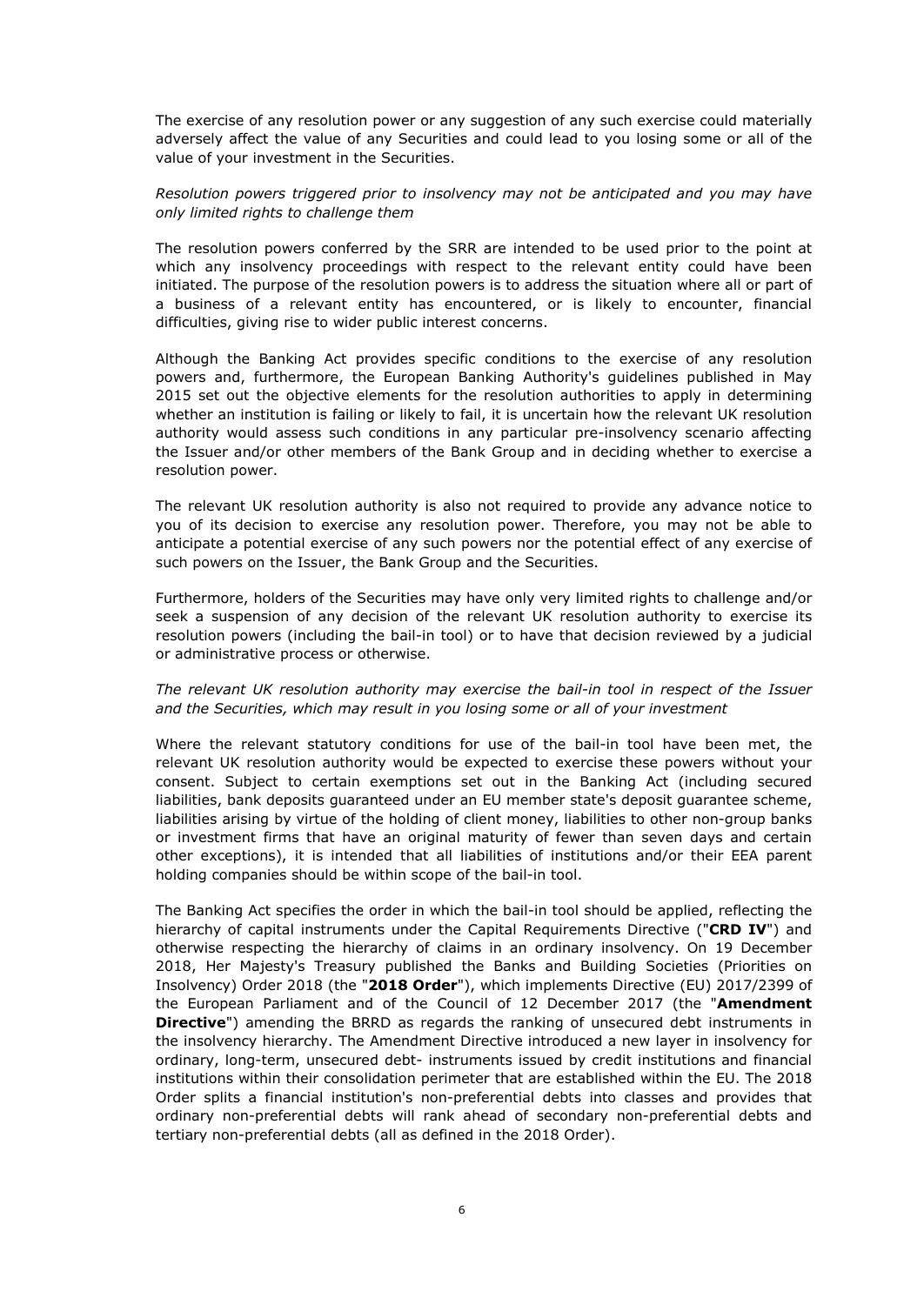The exercise of any resolution power or any suggestion of any such exercise could materially adversely affect the value of any Securities and could lead to you losing some or all of the value of your investment in the Securities.

## *Resolution powers triggered prior to insolvency may not be anticipated and you may have only limited rights to challenge them*

The resolution powers conferred by the SRR are intended to be used prior to the point at which any insolvency proceedings with respect to the relevant entity could have been initiated. The purpose of the resolution powers is to address the situation where all or part of a business of a relevant entity has encountered, or is likely to encounter, financial difficulties, giving rise to wider public interest concerns.

Although the Banking Act provides specific conditions to the exercise of any resolution powers and, furthermore, the European Banking Authority's guidelines published in May 2015 set out the objective elements for the resolution authorities to apply in determining whether an institution is failing or likely to fail, it is uncertain how the relevant UK resolution authority would assess such conditions in any particular pre-insolvency scenario affecting the Issuer and/or other members of the Bank Group and in deciding whether to exercise a resolution power.

The relevant UK resolution authority is also not required to provide any advance notice to you of its decision to exercise any resolution power. Therefore, you may not be able to anticipate a potential exercise of any such powers nor the potential effect of any exercise of such powers on the Issuer, the Bank Group and the Securities.

Furthermore, holders of the Securities may have only very limited rights to challenge and/or seek a suspension of any decision of the relevant UK resolution authority to exercise its resolution powers (including the bail-in tool) or to have that decision reviewed by a judicial or administrative process or otherwise.

### *The relevant UK resolution authority may exercise the bail-in tool in respect of the Issuer and the Securities, which may result in you losing some or all of your investment*

Where the relevant statutory conditions for use of the bail-in tool have been met, the relevant UK resolution authority would be expected to exercise these powers without your consent. Subject to certain exemptions set out in the Banking Act (including secured liabilities, bank deposits guaranteed under an EU member state's deposit guarantee scheme, liabilities arising by virtue of the holding of client money, liabilities to other non-group banks or investment firms that have an original maturity of fewer than seven days and certain other exceptions), it is intended that all liabilities of institutions and/or their EEA parent holding companies should be within scope of the bail-in tool.

The Banking Act specifies the order in which the bail-in tool should be applied, reflecting the hierarchy of capital instruments under the Capital Requirements Directive ("**CRD IV**") and otherwise respecting the hierarchy of claims in an ordinary insolvency. On 19 December 2018, Her Majesty's Treasury published the Banks and Building Societies (Priorities on Insolvency) Order 2018 (the "**2018 Order**"), which implements Directive (EU) 2017/2399 of the European Parliament and of the Council of 12 December 2017 (the "**Amendment Directive**") amending the BRRD as regards the ranking of unsecured debt instruments in the insolvency hierarchy. The Amendment Directive introduced a new layer in insolvency for ordinary, long-term, unsecured debt- instruments issued by credit institutions and financial institutions within their consolidation perimeter that are established within the EU. The 2018 Order splits a financial institution's non-preferential debts into classes and provides that ordinary non-preferential debts will rank ahead of secondary non-preferential debts and tertiary non-preferential debts (all as defined in the 2018 Order).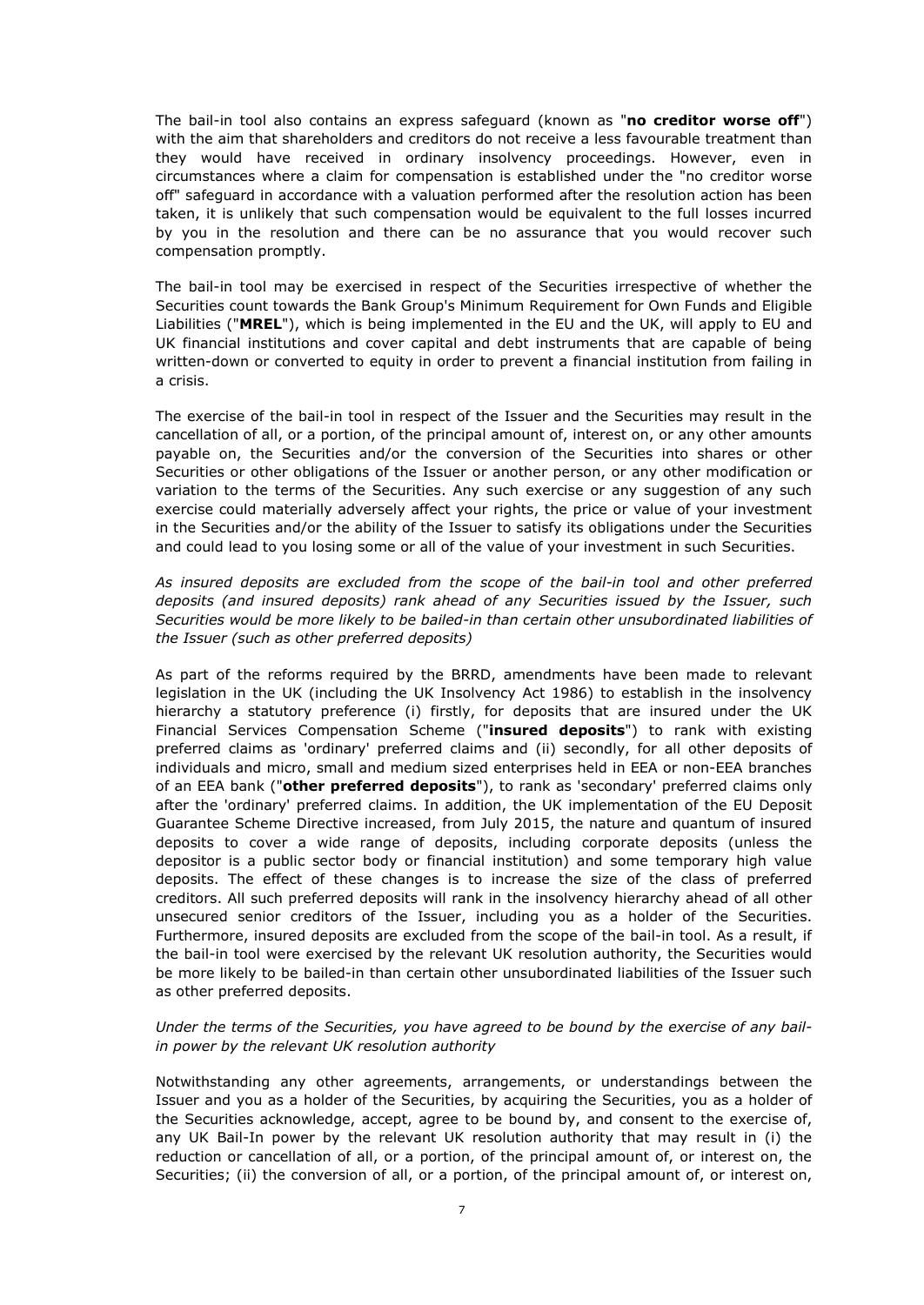The bail-in tool also contains an express safeguard (known as "**no creditor worse off**") with the aim that shareholders and creditors do not receive a less favourable treatment than they would have received in ordinary insolvency proceedings. However, even in circumstances where a claim for compensation is established under the "no creditor worse off" safeguard in accordance with a valuation performed after the resolution action has been taken, it is unlikely that such compensation would be equivalent to the full losses incurred by you in the resolution and there can be no assurance that you would recover such compensation promptly.

The bail-in tool may be exercised in respect of the Securities irrespective of whether the Securities count towards the Bank Group's Minimum Requirement for Own Funds and Eligible Liabilities ("**MREL**"), which is being implemented in the EU and the UK, will apply to EU and UK financial institutions and cover capital and debt instruments that are capable of being written-down or converted to equity in order to prevent a financial institution from failing in a crisis.

The exercise of the bail-in tool in respect of the Issuer and the Securities may result in the cancellation of all, or a portion, of the principal amount of, interest on, or any other amounts payable on, the Securities and/or the conversion of the Securities into shares or other Securities or other obligations of the Issuer or another person, or any other modification or variation to the terms of the Securities. Any such exercise or any suggestion of any such exercise could materially adversely affect your rights, the price or value of your investment in the Securities and/or the ability of the Issuer to satisfy its obligations under the Securities and could lead to you losing some or all of the value of your investment in such Securities.

*As insured deposits are excluded from the scope of the bail-in tool and other preferred deposits (and insured deposits) rank ahead of any Securities issued by the Issuer, such Securities would be more likely to be bailed-in than certain other unsubordinated liabilities of the Issuer (such as other preferred deposits)* 

As part of the reforms required by the BRRD, amendments have been made to relevant legislation in the UK (including the UK Insolvency Act 1986) to establish in the insolvency hierarchy a statutory preference (i) firstly, for deposits that are insured under the UK Financial Services Compensation Scheme ("**insured deposits**") to rank with existing preferred claims as 'ordinary' preferred claims and (ii) secondly, for all other deposits of individuals and micro, small and medium sized enterprises held in EEA or non-EEA branches of an EEA bank ("**other preferred deposits**"), to rank as 'secondary' preferred claims only after the 'ordinary' preferred claims. In addition, the UK implementation of the EU Deposit Guarantee Scheme Directive increased, from July 2015, the nature and quantum of insured deposits to cover a wide range of deposits, including corporate deposits (unless the depositor is a public sector body or financial institution) and some temporary high value deposits. The effect of these changes is to increase the size of the class of preferred creditors. All such preferred deposits will rank in the insolvency hierarchy ahead of all other unsecured senior creditors of the Issuer, including you as a holder of the Securities. Furthermore, insured deposits are excluded from the scope of the bail-in tool. As a result, if the bail-in tool were exercised by the relevant UK resolution authority, the Securities would be more likely to be bailed-in than certain other unsubordinated liabilities of the Issuer such as other preferred deposits.

### *Under the terms of the Securities, you have agreed to be bound by the exercise of any bailin power by the relevant UK resolution authority*

Notwithstanding any other agreements, arrangements, or understandings between the Issuer and you as a holder of the Securities, by acquiring the Securities, you as a holder of the Securities acknowledge, accept, agree to be bound by, and consent to the exercise of, any UK Bail-In power by the relevant UK resolution authority that may result in (i) the reduction or cancellation of all, or a portion, of the principal amount of, or interest on, the Securities; (ii) the conversion of all, or a portion, of the principal amount of, or interest on,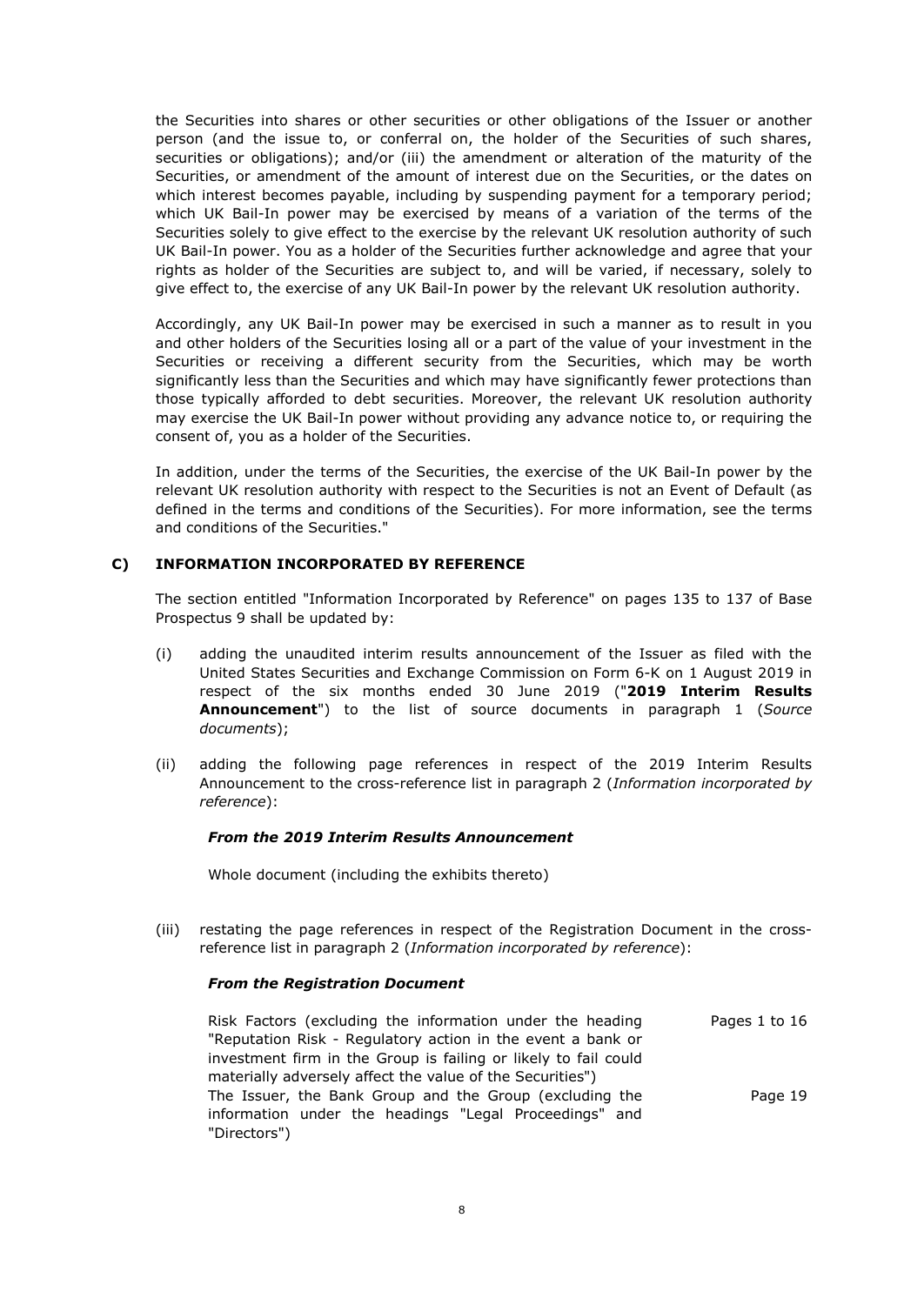the Securities into shares or other securities or other obligations of the Issuer or another person (and the issue to, or conferral on, the holder of the Securities of such shares, securities or obligations); and/or (iii) the amendment or alteration of the maturity of the Securities, or amendment of the amount of interest due on the Securities, or the dates on which interest becomes payable, including by suspending payment for a temporary period; which UK Bail-In power may be exercised by means of a variation of the terms of the Securities solely to give effect to the exercise by the relevant UK resolution authority of such UK Bail-In power. You as a holder of the Securities further acknowledge and agree that your rights as holder of the Securities are subject to, and will be varied, if necessary, solely to give effect to, the exercise of any UK Bail-In power by the relevant UK resolution authority.

Accordingly, any UK Bail-In power may be exercised in such a manner as to result in you and other holders of the Securities losing all or a part of the value of your investment in the Securities or receiving a different security from the Securities, which may be worth significantly less than the Securities and which may have significantly fewer protections than those typically afforded to debt securities. Moreover, the relevant UK resolution authority may exercise the UK Bail-In power without providing any advance notice to, or requiring the consent of, you as a holder of the Securities.

In addition, under the terms of the Securities, the exercise of the UK Bail-In power by the relevant UK resolution authority with respect to the Securities is not an Event of Default (as defined in the terms and conditions of the Securities). For more information, see the terms and conditions of the Securities."

# **C) INFORMATION INCORPORATED BY REFERENCE**

The section entitled "Information Incorporated by Reference" on pages 135 to 137 of Base Prospectus 9 shall be updated by:

- (i) adding the unaudited interim results announcement of the Issuer as filed with the United States Securities and Exchange Commission on Form 6-K on 1 August 2019 in respect of the six months ended 30 June 2019 ("**2019 Interim Results Announcement**") to the list of source documents in paragraph 1 (*Source documents*);
- (ii) adding the following page references in respect of the 2019 Interim Results Announcement to the cross-reference list in paragraph 2 (*Information incorporated by reference*):

### *From the 2019 Interim Results Announcement*

Whole document (including the exhibits thereto)

(iii) restating the page references in respect of the Registration Document in the crossreference list in paragraph 2 (*Information incorporated by reference*):

### *From the Registration Document*

Risk Factors (excluding the information under the heading "Reputation Risk - Regulatory action in the event a bank or investment firm in the Group is failing or likely to fail could materially adversely affect the value of the Securities") Pages 1 to 16 The Issuer, the Bank Group and the Group (excluding the information under the headings "Legal Proceedings" and "Directors") Page 19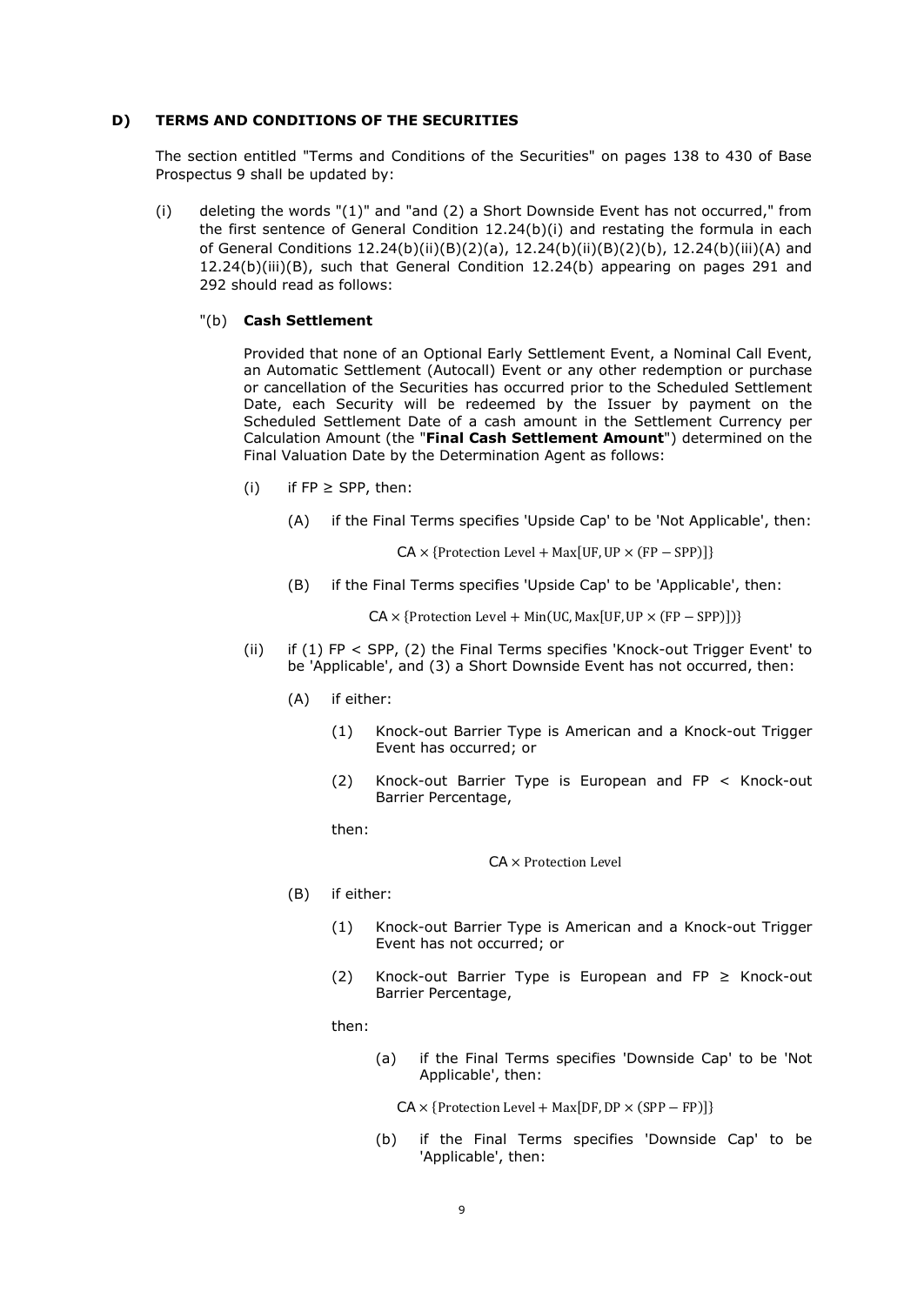#### **D) TERMS AND CONDITIONS OF THE SECURITIES**

The section entitled "Terms and Conditions of the Securities" on pages 138 to 430 of Base Prospectus 9 shall be updated by:

(i) deleting the words "(1)" and "and (2) a Short Downside Event has not occurred," from the first sentence of General Condition 12.24(b)(i) and restating the formula in each of General Conditions 12.24(b)(ii)(B)(2)(a), 12.24(b)(ii)(B)(2)(b), 12.24(b)(iii)(A) and 12.24(b)(iii)(B), such that General Condition 12.24(b) appearing on pages 291 and 292 should read as follows:

#### "(b) **Cash Settlement**

Provided that none of an Optional Early Settlement Event, a Nominal Call Event, an Automatic Settlement (Autocall) Event or any other redemption or purchase or cancellation of the Securities has occurred prior to the Scheduled Settlement Date, each Security will be redeemed by the Issuer by payment on the Scheduled Settlement Date of a cash amount in the Settlement Currency per Calculation Amount (the "**Final Cash Settlement Amount**") determined on the Final Valuation Date by the Determination Agent as follows:

- (i) if  $FP \geq$  SPP, then:
	- (A) if the Final Terms specifies 'Upside Cap' to be 'Not Applicable', then:

 $CA \times \{Protection Level + Max[UF, UP \times (FP - SPP)]\}$ 

(B) if the Final Terms specifies 'Upside Cap' to be 'Applicable', then:

 $CA \times \{Protection Level + Min(UC, Max[UF, UP \times (FP - SPP)])\}$ 

- (ii) if (1) FP < SPP, (2) the Final Terms specifies 'Knock-out Trigger Event' to be 'Applicable', and (3) a Short Downside Event has not occurred, then:
	- (A) if either:
		- (1) Knock-out Barrier Type is American and a Knock-out Trigger Event has occurred; or
		- (2) Knock-out Barrier Type is European and FP < Knock-out Barrier Percentage,

then:

#### CA × Protection Level

- (B) if either:
	- (1) Knock-out Barrier Type is American and a Knock-out Trigger Event has not occurred; or
	- (2) Knock-out Barrier Type is European and FP  $\geq$  Knock-out Barrier Percentage,

then:

(a) if the Final Terms specifies 'Downside Cap' to be 'Not Applicable', then:

 $CA \times \{Protection Level + Max[DF, DP \times (SPP - FP)]\}$ 

(b) if the Final Terms specifies 'Downside Cap' to be 'Applicable', then: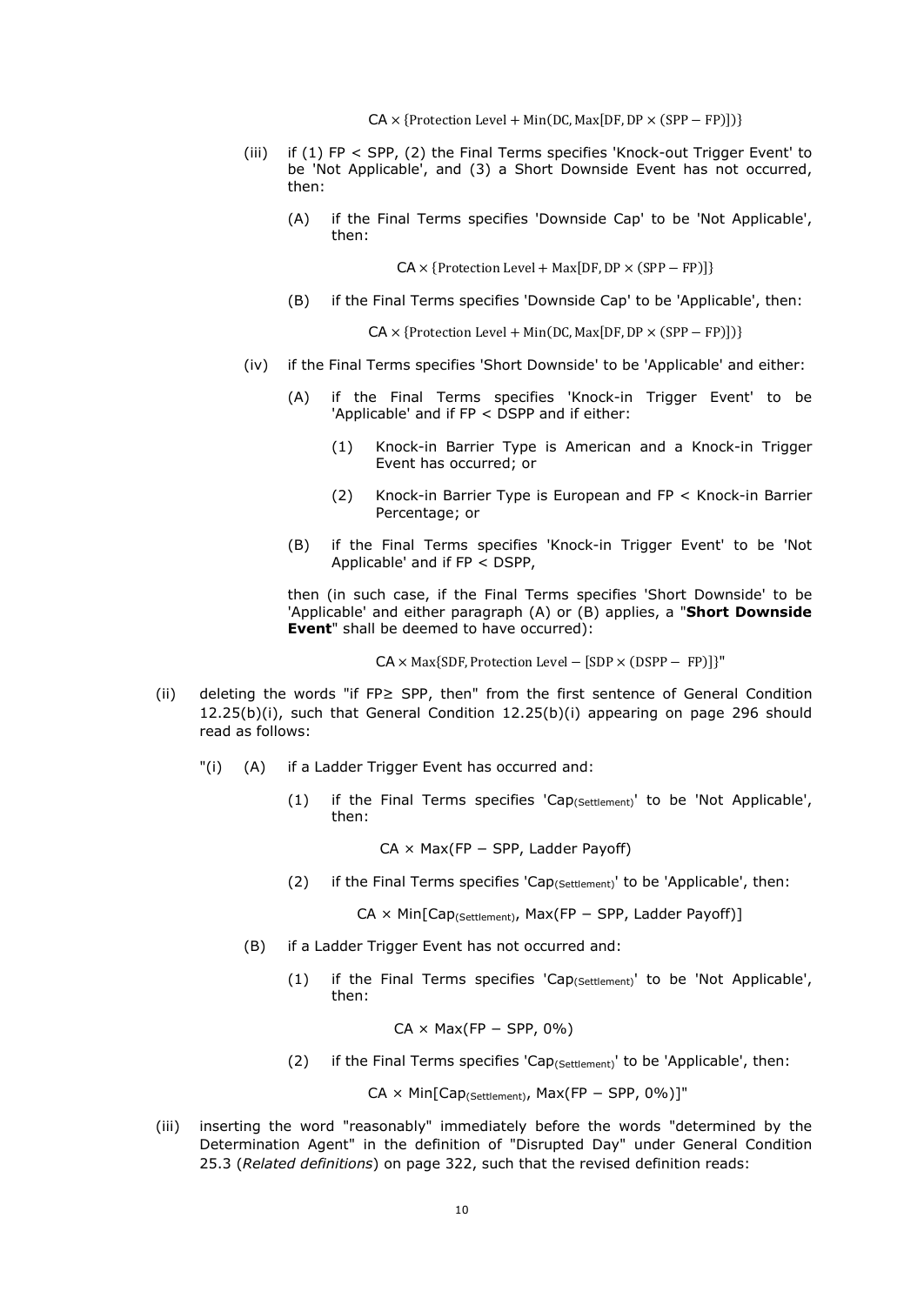$CA \times \{Protection Level + Min(DC, Max[DF, DP \times (SPP - FP)])\}$ 

- (iii) if (1) FP < SPP, (2) the Final Terms specifies 'Knock-out Trigger Event' to be 'Not Applicable', and (3) a Short Downside Event has not occurred, then:
	- (A) if the Final Terms specifies 'Downside Cap' to be 'Not Applicable', then:

 $CA \times \{Protection Level + Max[DF, DP \times (SPP - FP)]\}$ 

(B) if the Final Terms specifies 'Downside Cap' to be 'Applicable', then:

 $CA \times \{Protection Level + Min(DC, Max[DF, DP \times (SPP - FP)])\}$ 

- (iv) if the Final Terms specifies 'Short Downside' to be 'Applicable' and either:
	- (A) if the Final Terms specifies 'Knock-in Trigger Event' to be 'Applicable' and if FP < DSPP and if either:
		- (1) Knock-in Barrier Type is American and a Knock-in Trigger Event has occurred; or
		- (2) Knock-in Barrier Type is European and FP < Knock-in Barrier Percentage; or
	- (B) if the Final Terms specifies 'Knock-in Trigger Event' to be 'Not Applicable' and if FP < DSPP,

then (in such case, if the Final Terms specifies 'Short Downside' to be 'Applicable' and either paragraph (A) or (B) applies, a "**Short Downside Event**" shall be deemed to have occurred):

CA × Max{SDF, Protection Level − [SDP × (DSPP − FP)]}"

- (ii) deleting the words "if FP≥ SPP, then" from the first sentence of General Condition  $12.25(b)(i)$ , such that General Condition  $12.25(b)(i)$  appearing on page 296 should read as follows:
	- "(i) (A) if a Ladder Trigger Event has occurred and:
		- (1) if the Final Terms specifies 'Cap<sub>(Settlement)</sub>' to be 'Not Applicable', then:

CA × Max(FP − SPP, Ladder Payoff)

(2) if the Final Terms specifies 'Cap<sub>(Settlement)</sub>' to be 'Applicable', then:

CA × Min[Cap<sub>(Settlement)</sub>, Max(FP – SPP, Ladder Payoff)]

- (B) if a Ladder Trigger Event has not occurred and:
	- (1) if the Final Terms specifies 'Cap<sub>(Settlement)</sub>' to be 'Not Applicable', then:

 $CA \times Max(FP - SPP, 0\%)$ 

(2) if the Final Terms specifies 'Cap<sub>(Settlement)</sub>' to be 'Applicable', then:

CA × Min[Cap(Settlement), Max(FP − SPP, 0%)]"

(iii) inserting the word "reasonably" immediately before the words "determined by the Determination Agent" in the definition of "Disrupted Day" under General Condition 25.3 (*Related definitions*) on page 322, such that the revised definition reads: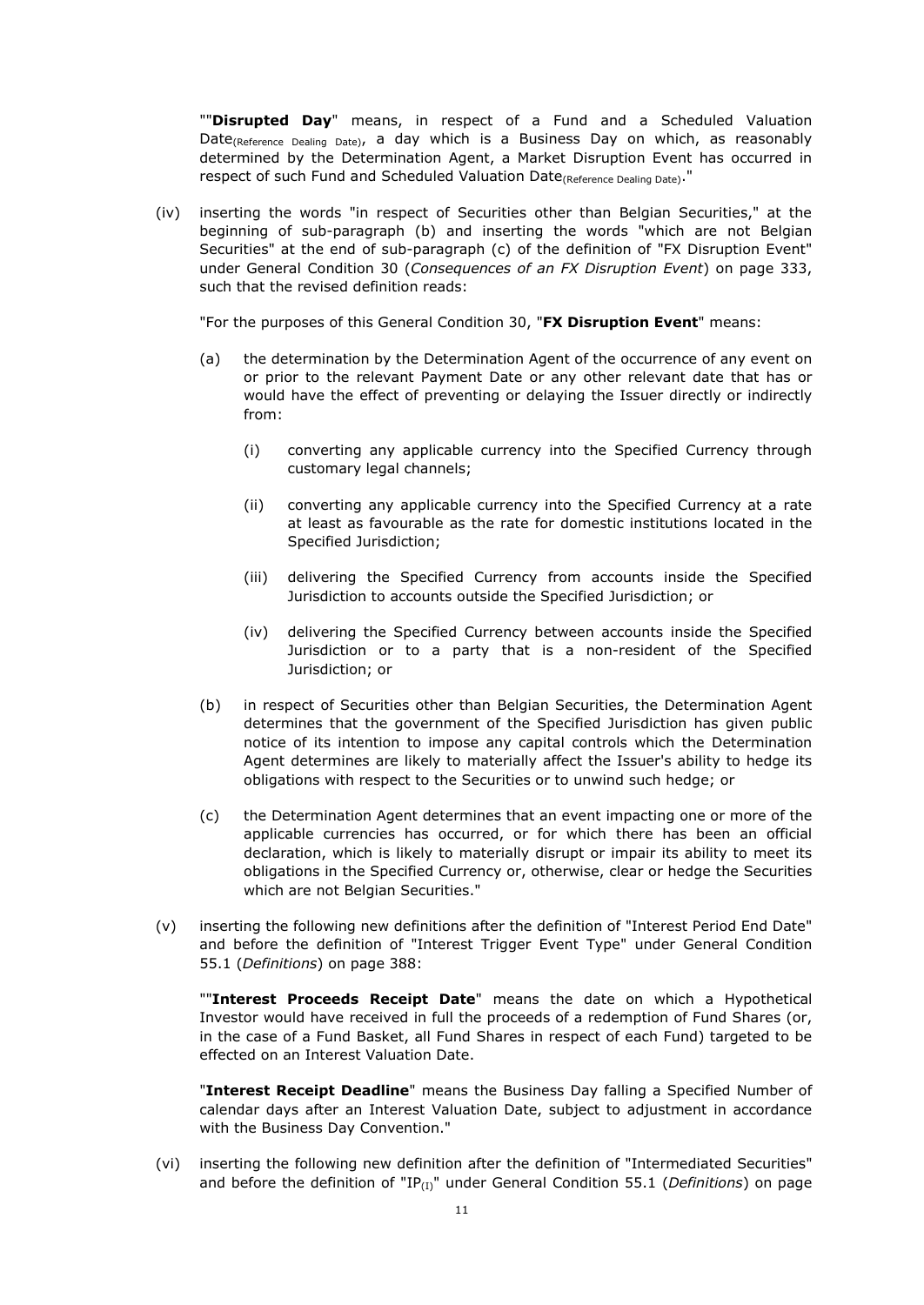""**Disrupted Day**" means, in respect of a Fund and a Scheduled Valuation Date<sub>(Reference Dealing Date)</sub>, a day which is a Business Day on which, as reasonably determined by the Determination Agent, a Market Disruption Event has occurred in respect of such Fund and Scheduled Valuation Date<sub>(Reference Dealing Date)</sub>."

(iv) inserting the words "in respect of Securities other than Belgian Securities," at the beginning of sub-paragraph (b) and inserting the words "which are not Belgian Securities" at the end of sub-paragraph (c) of the definition of "FX Disruption Event" under General Condition 30 (*Consequences of an FX Disruption Event*) on page 333, such that the revised definition reads:

"For the purposes of this General Condition 30, "**FX Disruption Event**" means:

- (a) the determination by the Determination Agent of the occurrence of any event on or prior to the relevant Payment Date or any other relevant date that has or would have the effect of preventing or delaying the Issuer directly or indirectly from:
	- (i) converting any applicable currency into the Specified Currency through customary legal channels;
	- (ii) converting any applicable currency into the Specified Currency at a rate at least as favourable as the rate for domestic institutions located in the Specified Jurisdiction;
	- (iii) delivering the Specified Currency from accounts inside the Specified Jurisdiction to accounts outside the Specified Jurisdiction; or
	- (iv) delivering the Specified Currency between accounts inside the Specified Jurisdiction or to a party that is a non-resident of the Specified Jurisdiction; or
- (b) in respect of Securities other than Belgian Securities, the Determination Agent determines that the government of the Specified Jurisdiction has given public notice of its intention to impose any capital controls which the Determination Agent determines are likely to materially affect the Issuer's ability to hedge its obligations with respect to the Securities or to unwind such hedge; or
- (c) the Determination Agent determines that an event impacting one or more of the applicable currencies has occurred, or for which there has been an official declaration, which is likely to materially disrupt or impair its ability to meet its obligations in the Specified Currency or, otherwise, clear or hedge the Securities which are not Belgian Securities."
- (v) inserting the following new definitions after the definition of "Interest Period End Date" and before the definition of "Interest Trigger Event Type" under General Condition 55.1 (*Definitions*) on page 388:

""**Interest Proceeds Receipt Date**" means the date on which a Hypothetical Investor would have received in full the proceeds of a redemption of Fund Shares (or, in the case of a Fund Basket, all Fund Shares in respect of each Fund) targeted to be effected on an Interest Valuation Date.

"**Interest Receipt Deadline**" means the Business Day falling a Specified Number of calendar days after an Interest Valuation Date, subject to adjustment in accordance with the Business Day Convention."

(vi) inserting the following new definition after the definition of "Intermediated Securities" and before the definition of "IP<sub>(I)</sub>" under General Condition 55.1 (*Definitions*) on page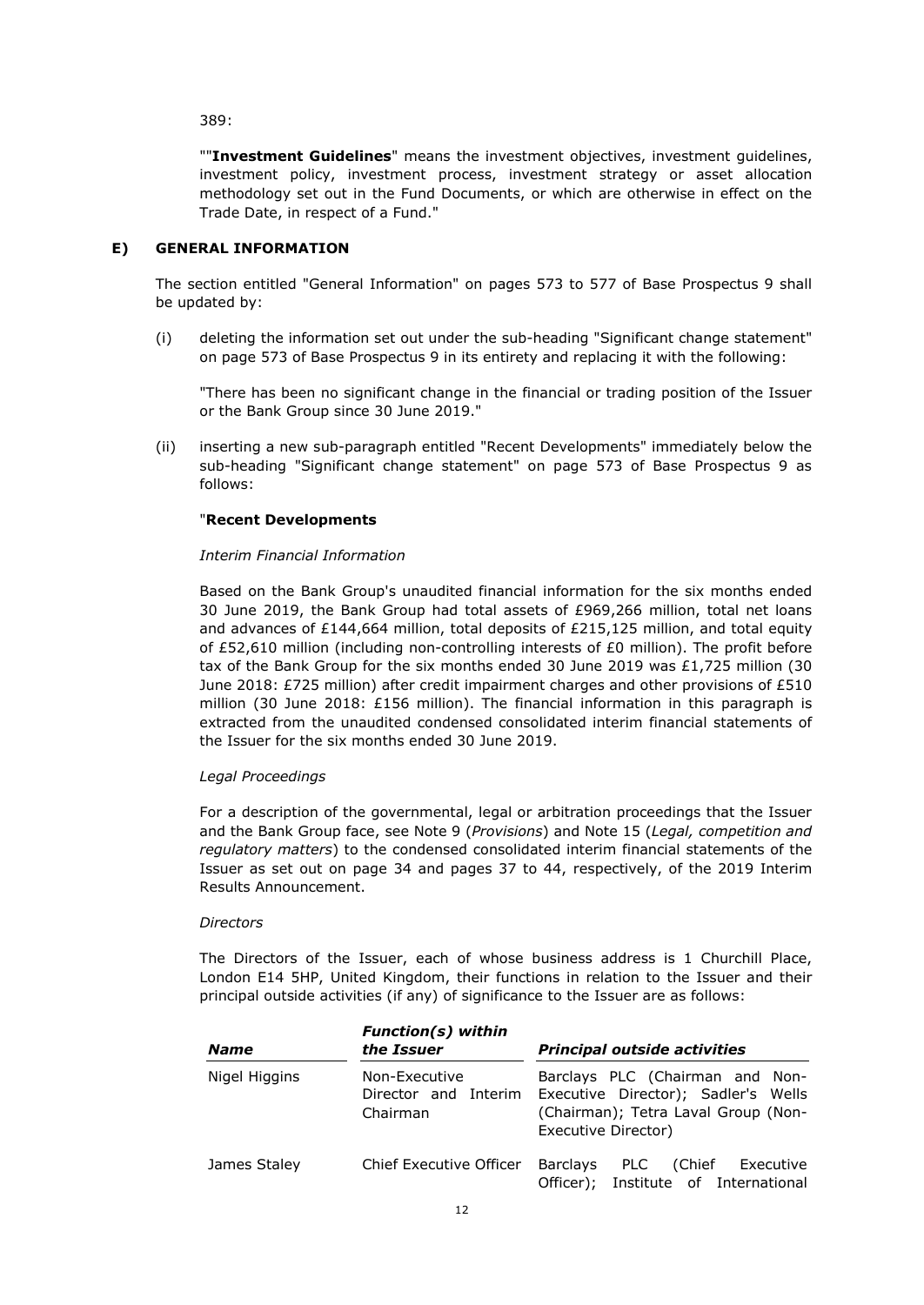389:

""**Investment Guidelines**" means the investment objectives, investment guidelines, investment policy, investment process, investment strategy or asset allocation methodology set out in the Fund Documents, or which are otherwise in effect on the Trade Date, in respect of a Fund."

## **E) GENERAL INFORMATION**

The section entitled "General Information" on pages 573 to 577 of Base Prospectus 9 shall be updated by:

(i) deleting the information set out under the sub-heading "Significant change statement" on page 573 of Base Prospectus 9 in its entirety and replacing it with the following:

"There has been no significant change in the financial or trading position of the Issuer or the Bank Group since 30 June 2019."

(ii) inserting a new sub-paragraph entitled "Recent Developments" immediately below the sub-heading "Significant change statement" on page 573 of Base Prospectus 9 as follows:

# "**Recent Developments**

### *Interim Financial Information*

Based on the Bank Group's unaudited financial information for the six months ended 30 June 2019, the Bank Group had total assets of £969,266 million, total net loans and advances of £144,664 million, total deposits of £215,125 million, and total equity of £52,610 million (including non-controlling interests of £0 million). The profit before tax of the Bank Group for the six months ended 30 June 2019 was £1,725 million (30) June 2018: £725 million) after credit impairment charges and other provisions of £510 million (30 June 2018: £156 million). The financial information in this paragraph is extracted from the unaudited condensed consolidated interim financial statements of the Issuer for the six months ended 30 June 2019.

### *Legal Proceedings*

For a description of the governmental, legal or arbitration proceedings that the Issuer and the Bank Group face, see Note 9 (*Provisions*) and Note 15 (*Legal, competition and regulatory matters*) to the condensed consolidated interim financial statements of the Issuer as set out on page 34 and pages 37 to 44, respectively, of the 2019 Interim Results Announcement.

#### *Directors*

The Directors of the Issuer, each of whose business address is 1 Churchill Place, London E14 5HP, United Kingdom, their functions in relation to the Issuer and their principal outside activities (if any) of significance to the Issuer are as follows:

| <b>Name</b>   | <b>Function(s)</b> within<br>the Issuer           | <b>Principal outside activities</b>                                                                                                  |
|---------------|---------------------------------------------------|--------------------------------------------------------------------------------------------------------------------------------------|
| Nigel Higgins | Non-Executive<br>Director and Interim<br>Chairman | Barclays PLC (Chairman and Non-<br>Executive Director); Sadler's Wells<br>(Chairman); Tetra Laval Group (Non-<br>Executive Director) |
| James Staley  | Chief Executive Officer                           | <b>Barclays</b><br>PLC<br>(Chief<br>Executive<br>Officer); Institute of International                                                |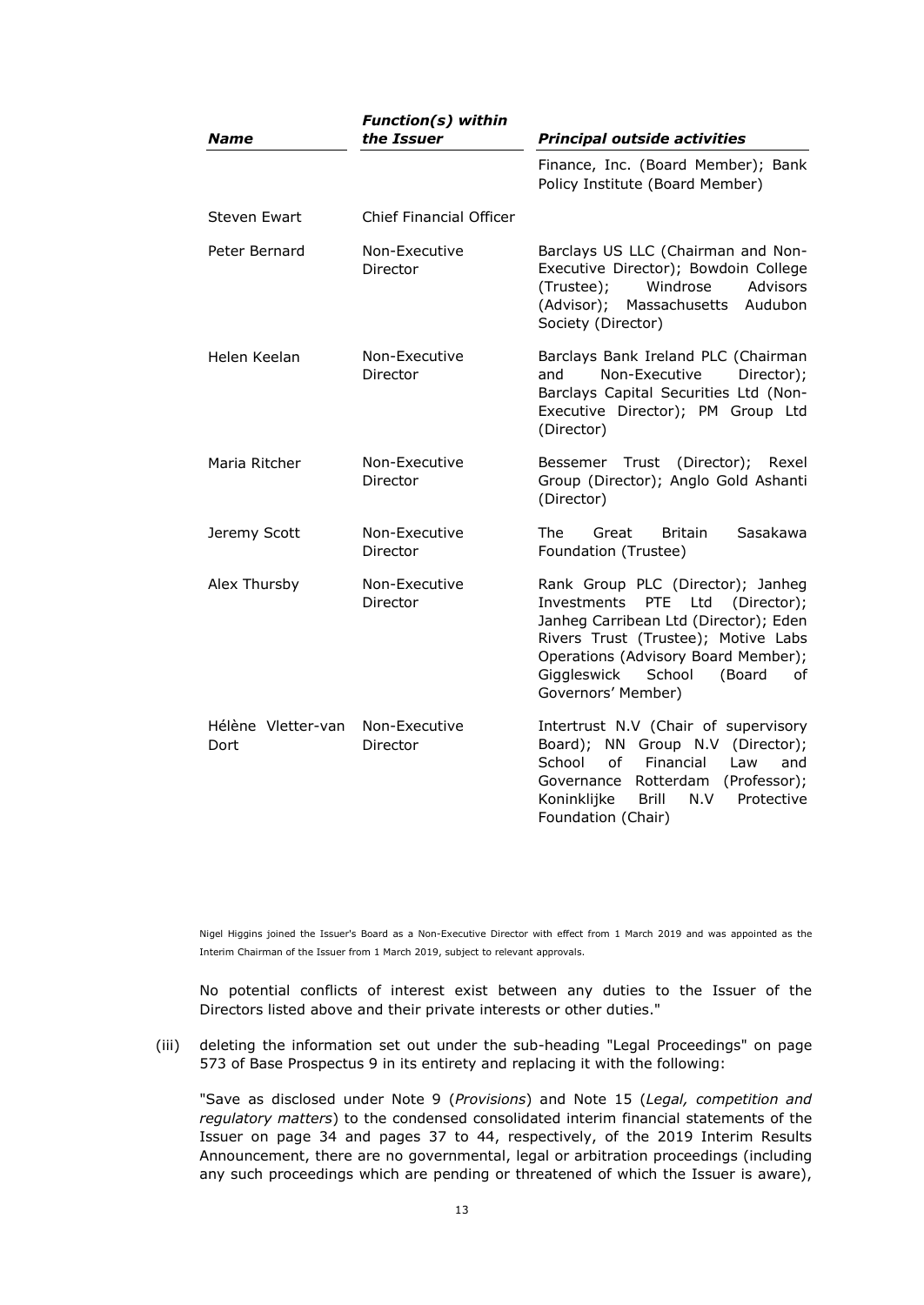| <b>Name</b>                | <b>Function(s)</b> within<br>the Issuer | <b>Principal outside activities</b>                                                                                                                                                                                                                           |
|----------------------------|-----------------------------------------|---------------------------------------------------------------------------------------------------------------------------------------------------------------------------------------------------------------------------------------------------------------|
|                            |                                         | Finance, Inc. (Board Member); Bank<br>Policy Institute (Board Member)                                                                                                                                                                                         |
| Steven Ewart               | Chief Financial Officer                 |                                                                                                                                                                                                                                                               |
| Peter Bernard              | Non-Executive<br>Director               | Barclays US LLC (Chairman and Non-<br>Executive Director); Bowdoin College<br>Windrose<br><b>Advisors</b><br>(Trustee);<br>(Advisor);<br>Massachusetts<br>Audubon<br>Society (Director)                                                                       |
| Helen Keelan               | Non-Executive<br>Director               | Barclays Bank Ireland PLC (Chairman<br>Non-Executive<br>Director);<br>and<br>Barclays Capital Securities Ltd (Non-<br>Executive Director); PM Group Ltd<br>(Director)                                                                                         |
| Maria Ritcher              | Non-Executive<br>Director               | Bessemer Trust<br>(Director);<br>Rexel<br>Group (Director); Anglo Gold Ashanti<br>(Director)                                                                                                                                                                  |
| Jeremy Scott               | Non-Executive<br>Director               | The<br>Sasakawa<br>Great<br><b>Britain</b><br>Foundation (Trustee)                                                                                                                                                                                            |
| Alex Thursby               | Non-Executive<br>Director               | Rank Group PLC (Director); Janheg<br>(Director);<br>Investments PTE Ltd<br>Janheg Carribean Ltd (Director); Eden<br>Rivers Trust (Trustee); Motive Labs<br>Operations (Advisory Board Member);<br>Giggleswick<br>School<br>(Board<br>οf<br>Governors' Member) |
| Hélène Vletter-van<br>Dort | Non-Executive<br>Director               | Intertrust N.V (Chair of supervisory<br>Board); NN Group N.V (Director);<br>of<br>School<br>Financial<br>Law<br>and<br>Rotterdam<br>(Professor);<br>Governance<br>N.V<br>Koninklijke<br>Brill<br>Protective<br>Foundation (Chair)                             |

Nigel Higgins joined the Issuer's Board as a Non-Executive Director with effect from 1 March 2019 and was appointed as the Interim Chairman of the Issuer from 1 March 2019, subject to relevant approvals.

No potential conflicts of interest exist between any duties to the Issuer of the Directors listed above and their private interests or other duties."

(iii) deleting the information set out under the sub-heading "Legal Proceedings" on page 573 of Base Prospectus 9 in its entirety and replacing it with the following:

"Save as disclosed under Note 9 (*Provisions*) and Note 15 (*Legal, competition and regulatory matters*) to the condensed consolidated interim financial statements of the Issuer on page 34 and pages 37 to 44, respectively, of the 2019 Interim Results Announcement, there are no governmental, legal or arbitration proceedings (including any such proceedings which are pending or threatened of which the Issuer is aware),